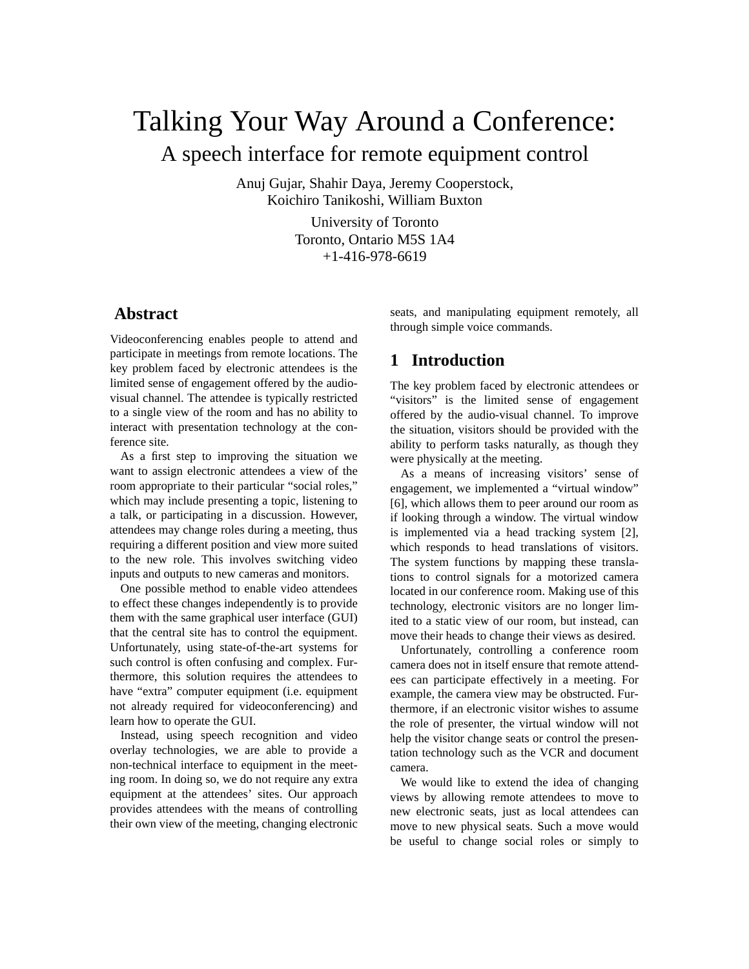# Talking Your Way Around a Conference: A speech interface for remote equipment control

Anuj Gujar, Shahir Daya, Jeremy Cooperstock, Koichiro Tanikoshi, William Buxton

> University of Toronto Toronto, Ontario M5S 1A4 +1-416-978-6619

## **Abstract**

Videoconferencing enables people to attend and participate in meetings from remote locations. The key problem faced by electronic attendees is the limited sense of engagement offered by the audiovisual channel. The attendee is typically restricted to a single view of the room and has no ability to interact with presentation technology at the conference site.

As a first step to improving the situation we want to assign electronic attendees a view of the room appropriate to their particular "social roles," which may include presenting a topic, listening to a talk, or participating in a discussion. However, attendees may change roles during a meeting, thus requiring a different position and view more suited to the new role. This involves switching video inputs and outputs to new cameras and monitors.

One possible method to enable video attendees to effect these changes independently is to provide them with the same graphical user interface (GUI) that the central site has to control the equipment. Unfortunately, using state-of-the-art systems for such control is often confusing and complex. Furthermore, this solution requires the attendees to have "extra" computer equipment (i.e. equipment not already required for videoconferencing) and learn how to operate the GUI.

Instead, using speech recognition and video overlay technologies, we are able to provide a non-technical interface to equipment in the meeting room. In doing so, we do not require any extra equipment at the attendees' sites. Our approach provides attendees with the means of controlling their own view of the meeting, changing electronic

seats, and manipulating equipment remotely, all through simple voice commands.

## **1 Introduction**

The key problem faced by electronic attendees or "visitors" is the limited sense of engagement offered by the audio-visual channel. To improve the situation, visitors should be provided with the ability to perform tasks naturally, as though they were physically at the meeting.

As a means of increasing visitors' sense of engagement, we implemented a "virtual window" [6], which allows them to peer around our room as if looking through a window. The virtual window is implemented via a head tracking system [2], which responds to head translations of visitors. The system functions by mapping these translations to control signals for a motorized camera located in our conference room. Making use of this technology, electronic visitors are no longer limited to a static view of our room, but instead, can move their heads to change their views as desired.

Unfortunately, controlling a conference room camera does not in itself ensure that remote attendees can participate effectively in a meeting. For example, the camera view may be obstructed. Furthermore, if an electronic visitor wishes to assume the role of presenter, the virtual window will not help the visitor change seats or control the presentation technology such as the VCR and document camera.

We would like to extend the idea of changing views by allowing remote attendees to move to new electronic seats, just as local attendees can move to new physical seats. Such a move would be useful to change social roles or simply to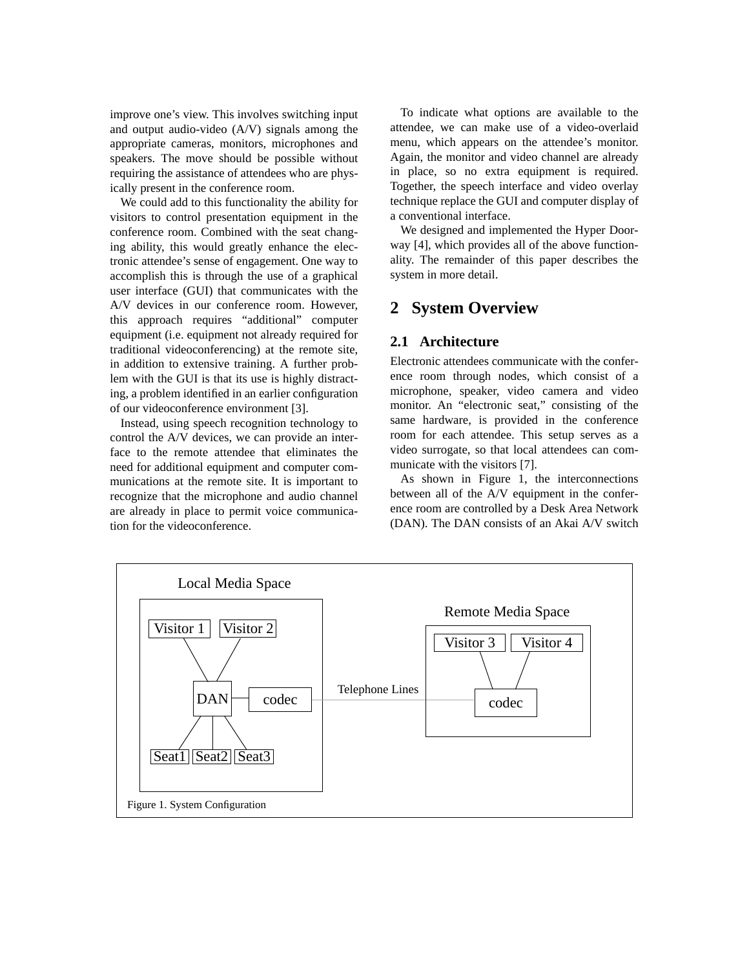improve one's view. This involves switching input and output audio-video (A/V) signals among the appropriate cameras, monitors, microphones and speakers. The move should be possible without requiring the assistance of attendees who are physically present in the conference room.

We could add to this functionality the ability for visitors to control presentation equipment in the conference room. Combined with the seat changing ability, this would greatly enhance the electronic attendee's sense of engagement. One way to accomplish this is through the use of a graphical user interface (GUI) that communicates with the A/V devices in our conference room. However, this approach requires "additional" computer equipment (i.e. equipment not already required for traditional videoconferencing) at the remote site, in addition to extensive training. A further problem with the GUI is that its use is highly distracting, a problem identified in an earlier configuration of our videoconference environment [3].

Instead, using speech recognition technology to control the A/V devices, we can provide an interface to the remote attendee that eliminates the need for additional equipment and computer communications at the remote site. It is important to recognize that the microphone and audio channel are already in place to permit voice communication for the videoconference.

To indicate what options are available to the attendee, we can make use of a video-overlaid menu, which appears on the attendee's monitor. Again, the monitor and video channel are already in place, so no extra equipment is required. Together, the speech interface and video overlay technique replace the GUI and computer display of a conventional interface.

We designed and implemented the Hyper Doorway [4], which provides all of the above functionality. The remainder of this paper describes the system in more detail.

## **2 System Overview**

#### **2.1 Architecture**

Electronic attendees communicate with the conference room through nodes, which consist of a microphone, speaker, video camera and video monitor. An "electronic seat," consisting of the same hardware, is provided in the conference room for each attendee. This setup serves as a video surrogate, so that local attendees can communicate with the visitors [7].

As shown in Figure 1, the interconnections between all of the A/V equipment in the conference room are controlled by a Desk Area Network (DAN). The DAN consists of an Akai A/V switch

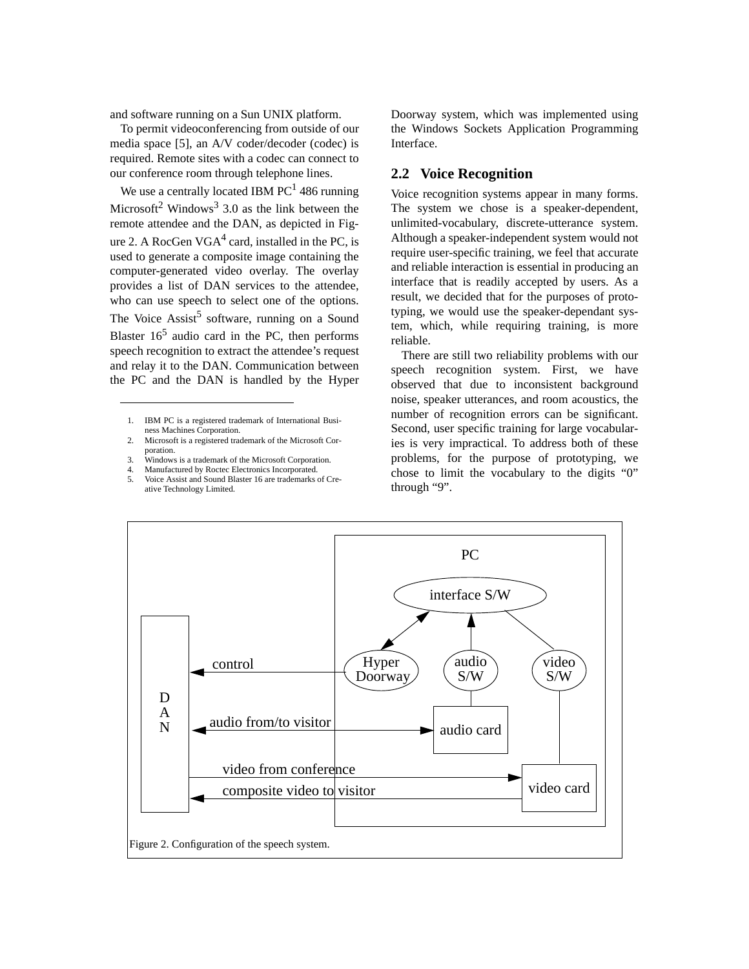and software running on a Sun UNIX platform.

To permit videoconferencing from outside of our media space [5], an A/V coder/decoder (codec) is required. Remote sites with a codec can connect to our conference room through telephone lines.

We use a centrally located IBM  $PC<sup>1</sup>$  486 running Microsoft<sup>2</sup> Windows<sup>3</sup> 3.0 as the link between the remote attendee and the DAN, as depicted in Figure 2. A RocGen  $VGA^4$  card, installed in the PC, is used to generate a composite image containing the computer-generated video overlay. The overlay provides a list of DAN services to the attendee, who can use speech to select one of the options. The Voice  $\text{Assist}^5$  software, running on a Sound Blaster  $16<sup>5</sup>$  audio card in the PC, then performs speech recognition to extract the attendee's request and relay it to the DAN. Communication between the PC and the DAN is handled by the Hyper

- 2. Microsoft is a registered trademark of the Microsoft Corporation.
- 3. Windows is a trademark of the Microsoft Corporation.
- 4. Manufactured by Roctec Electronics Incorporated.
- 5. Voice Assist and Sound Blaster 16 are trademarks of Creative Technology Limited.

Doorway system, which was implemented using the Windows Sockets Application Programming Interface.

#### **2.2 Voice Recognition**

Voice recognition systems appear in many forms. The system we chose is a speaker-dependent, unlimited-vocabulary, discrete-utterance system. Although a speaker-independent system would not require user-specific training, we feel that accurate and reliable interaction is essential in producing an interface that is readily accepted by users. As a result, we decided that for the purposes of prototyping, we would use the speaker-dependant system, which, while requiring training, is more reliable.

There are still two reliability problems with our speech recognition system. First, we have observed that due to inconsistent background noise, speaker utterances, and room acoustics, the number of recognition errors can be significant. Second, user specific training for large vocabularies is very impractical. To address both of these problems, for the purpose of prototyping, we chose to limit the vocabulary to the digits "0" through "9".



<sup>1.</sup> IBM PC is a registered trademark of International Business Machines Corporation.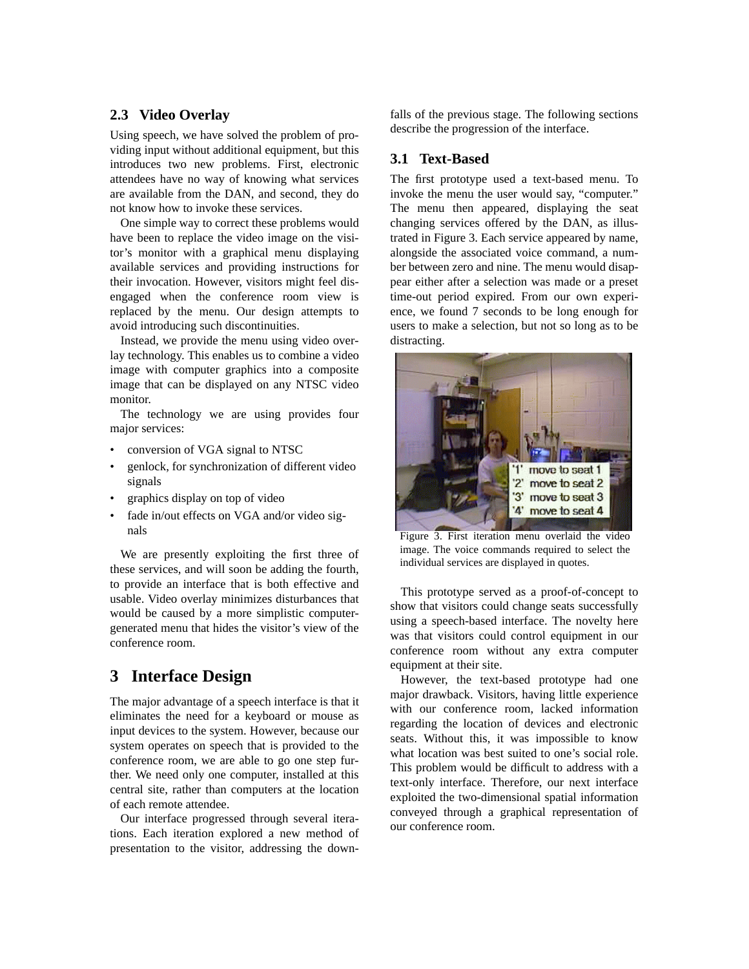#### **2.3 Video Overlay**

Using speech, we have solved the problem of providing input without additional equipment, but this introduces two new problems. First, electronic attendees have no way of knowing what services are available from the DAN, and second, they do not know how to invoke these services.

One simple way to correct these problems would have been to replace the video image on the visitor's monitor with a graphical menu displaying available services and providing instructions for their invocation. However, visitors might feel disengaged when the conference room view is replaced by the menu. Our design attempts to avoid introducing such discontinuities.

Instead, we provide the menu using video overlay technology. This enables us to combine a video image with computer graphics into a composite image that can be displayed on any NTSC video monitor.

The technology we are using provides four major services:

- conversion of VGA signal to NTSC
- genlock, for synchronization of different video signals
- graphics display on top of video
- fade in/out effects on VGA and/or video signals

We are presently exploiting the first three of these services, and will soon be adding the fourth, to provide an interface that is both effective and usable. Video overlay minimizes disturbances that would be caused by a more simplistic computergenerated menu that hides the visitor's view of the conference room.

## **3 Interface Design**

The major advantage of a speech interface is that it eliminates the need for a keyboard or mouse as input devices to the system. However, because our system operates on speech that is provided to the conference room, we are able to go one step further. We need only one computer, installed at this central site, rather than computers at the location of each remote attendee.

Our interface progressed through several iterations. Each iteration explored a new method of presentation to the visitor, addressing the downfalls of the previous stage. The following sections describe the progression of the interface.

#### **3.1 Text-Based**

The first prototype used a text-based menu. To invoke the menu the user would say, "computer." The menu then appeared, displaying the seat changing services offered by the DAN, as illustrated in Figure 3. Each service appeared by name, alongside the associated voice command, a number between zero and nine. The menu would disappear either after a selection was made or a preset time-out period expired. From our own experience, we found 7 seconds to be long enough for users to make a selection, but not so long as to be distracting.



Figure 3. First iteration menu overlaid the video image. The voice commands required to select the individual services are displayed in quotes.

This prototype served as a proof-of-concept to show that visitors could change seats successfully using a speech-based interface. The novelty here was that visitors could control equipment in our conference room without any extra computer equipment at their site.

However, the text-based prototype had one major drawback. Visitors, having little experience with our conference room, lacked information regarding the location of devices and electronic seats. Without this, it was impossible to know what location was best suited to one's social role. This problem would be difficult to address with a text-only interface. Therefore, our next interface exploited the two-dimensional spatial information conveyed through a graphical representation of our conference room.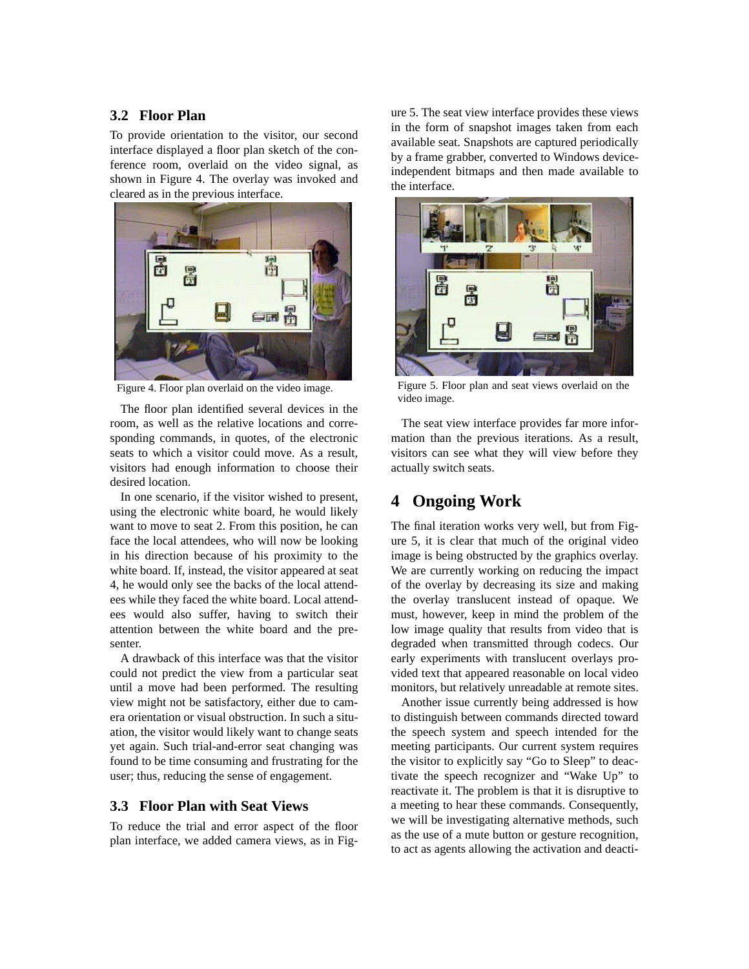#### **3.2 Floor Plan**

To provide orientation to the visitor, our second interface displayed a floor plan sketch of the conference room, overlaid on the video signal, as shown in Figure 4. The overlay was invoked and cleared as in the previous interface.



Figure 4. Floor plan overlaid on the video image.

The floor plan identified several devices in the room, as well as the relative locations and corresponding commands, in quotes, of the electronic seats to which a visitor could move. As a result, visitors had enough information to choose their desired location.

In one scenario, if the visitor wished to present, using the electronic white board, he would likely want to move to seat 2. From this position, he can face the local attendees, who will now be looking in his direction because of his proximity to the white board. If, instead, the visitor appeared at seat 4, he would only see the backs of the local attendees while they faced the white board. Local attendees would also suffer, having to switch their attention between the white board and the presenter.

A drawback of this interface was that the visitor could not predict the view from a particular seat until a move had been performed. The resulting view might not be satisfactory, either due to camera orientation or visual obstruction. In such a situation, the visitor would likely want to change seats yet again. Such trial-and-error seat changing was found to be time consuming and frustrating for the user; thus, reducing the sense of engagement.

#### **3.3 Floor Plan with Seat Views**

To reduce the trial and error aspect of the floor plan interface, we added camera views, as in Fig-

ure 5. The seat view interface provides these views in the form of snapshot images taken from each available seat. Snapshots are captured periodically by a frame grabber, converted to Windows deviceindependent bitmaps and then made available to the interface.



Figure 5. Floor plan and seat views overlaid on the video image.

The seat view interface provides far more information than the previous iterations. As a result, visitors can see what they will view before they actually switch seats.

### **4 Ongoing Work**

The final iteration works very well, but from Figure 5, it is clear that much of the original video image is being obstructed by the graphics overlay. We are currently working on reducing the impact of the overlay by decreasing its size and making the overlay translucent instead of opaque. We must, however, keep in mind the problem of the low image quality that results from video that is degraded when transmitted through codecs. Our early experiments with translucent overlays provided text that appeared reasonable on local video monitors, but relatively unreadable at remote sites.

Another issue currently being addressed is how to distinguish between commands directed toward the speech system and speech intended for the meeting participants. Our current system requires the visitor to explicitly say "Go to Sleep" to deactivate the speech recognizer and "Wake Up" to reactivate it. The problem is that it is disruptive to a meeting to hear these commands. Consequently, we will be investigating alternative methods, such as the use of a mute button or gesture recognition, to act as agents allowing the activation and deacti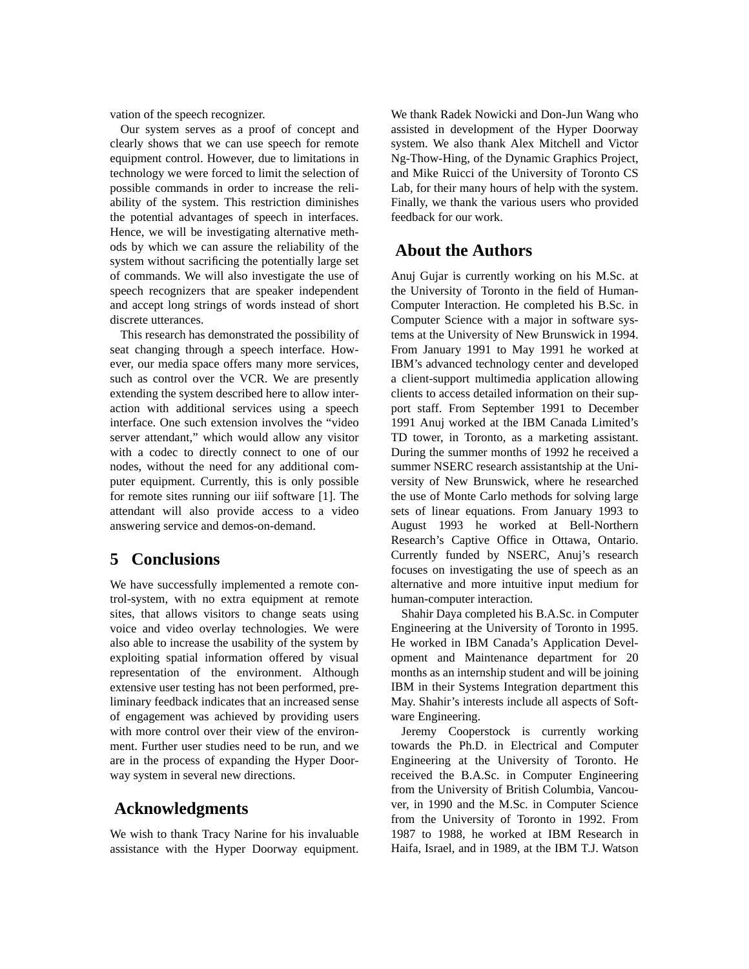vation of the speech recognizer.

Our system serves as a proof of concept and clearly shows that we can use speech for remote equipment control. However, due to limitations in technology we were forced to limit the selection of possible commands in order to increase the reliability of the system. This restriction diminishes the potential advantages of speech in interfaces. Hence, we will be investigating alternative methods by which we can assure the reliability of the system without sacrificing the potentially large set of commands. We will also investigate the use of speech recognizers that are speaker independent and accept long strings of words instead of short discrete utterances.

This research has demonstrated the possibility of seat changing through a speech interface. However, our media space offers many more services, such as control over the VCR. We are presently extending the system described here to allow interaction with additional services using a speech interface. One such extension involves the "video server attendant," which would allow any visitor with a codec to directly connect to one of our nodes, without the need for any additional computer equipment. Currently, this is only possible for remote sites running our iiif software [1]. The attendant will also provide access to a video answering service and demos-on-demand.

## **5 Conclusions**

We have successfully implemented a remote control-system, with no extra equipment at remote sites, that allows visitors to change seats using voice and video overlay technologies. We were also able to increase the usability of the system by exploiting spatial information offered by visual representation of the environment. Although extensive user testing has not been performed, preliminary feedback indicates that an increased sense of engagement was achieved by providing users with more control over their view of the environment. Further user studies need to be run, and we are in the process of expanding the Hyper Doorway system in several new directions.

## **Acknowledgments**

We wish to thank Tracy Narine for his invaluable assistance with the Hyper Doorway equipment.

We thank Radek Nowicki and Don-Jun Wang who assisted in development of the Hyper Doorway system. We also thank Alex Mitchell and Victor Ng-Thow-Hing, of the Dynamic Graphics Project, and Mike Ruicci of the University of Toronto CS Lab, for their many hours of help with the system. Finally, we thank the various users who provided feedback for our work.

## **About the Authors**

Anuj Gujar is currently working on his M.Sc. at the University of Toronto in the field of Human-Computer Interaction. He completed his B.Sc. in Computer Science with a major in software systems at the University of New Brunswick in 1994. From January 1991 to May 1991 he worked at IBM's advanced technology center and developed a client-support multimedia application allowing clients to access detailed information on their support staff. From September 1991 to December 1991 Anuj worked at the IBM Canada Limited's TD tower, in Toronto, as a marketing assistant. During the summer months of 1992 he received a summer NSERC research assistantship at the University of New Brunswick, where he researched the use of Monte Carlo methods for solving large sets of linear equations. From January 1993 to August 1993 he worked at Bell-Northern Research's Captive Office in Ottawa, Ontario. Currently funded by NSERC, Anuj's research focuses on investigating the use of speech as an alternative and more intuitive input medium for human-computer interaction.

Shahir Daya completed his B.A.Sc. in Computer Engineering at the University of Toronto in 1995. He worked in IBM Canada's Application Development and Maintenance department for 20 months as an internship student and will be joining IBM in their Systems Integration department this May. Shahir's interests include all aspects of Software Engineering.

Jeremy Cooperstock is currently working towards the Ph.D. in Electrical and Computer Engineering at the University of Toronto. He received the B.A.Sc. in Computer Engineering from the University of British Columbia, Vancouver, in 1990 and the M.Sc. in Computer Science from the University of Toronto in 1992. From 1987 to 1988, he worked at IBM Research in Haifa, Israel, and in 1989, at the IBM T.J. Watson